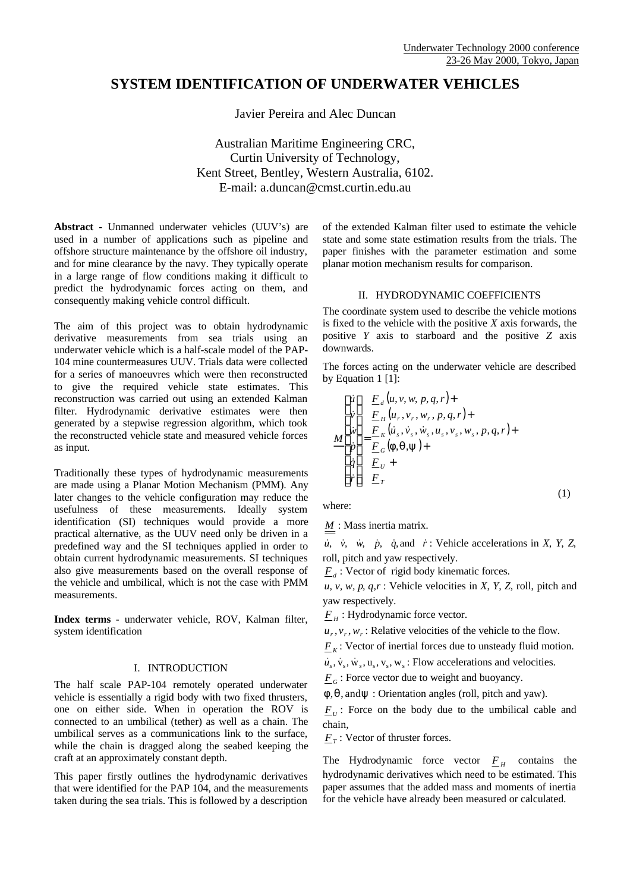# **SYSTEM IDENTIFICATION OF UNDERWATER VEHICLES**

Javier Pereira and Alec Duncan

Australian Maritime Engineering CRC, Curtin University of Technology, Kent Street, Bentley, Western Australia, 6102. E-mail: a.duncan@cmst.curtin.edu.au

**Abstract -** Unmanned underwater vehicles (UUV's) are used in a number of applications such as pipeline and offshore structure maintenance by the offshore oil industry, and for mine clearance by the navy. They typically operate in a large range of flow conditions making it difficult to predict the hydrodynamic forces acting on them, and consequently making vehicle control difficult.

The aim of this project was to obtain hydrodynamic derivative measurements from sea trials using an underwater vehicle which is a half-scale model of the PAP-104 mine countermeasures UUV. Trials data were collected for a series of manoeuvres which were then reconstructed to give the required vehicle state estimates. This reconstruction was carried out using an extended Kalman filter. Hydrodynamic derivative estimates were then generated by a stepwise regression algorithm, which took the reconstructed vehicle state and measured vehicle forces as input.

Traditionally these types of hydrodynamic measurements are made using a Planar Motion Mechanism (PMM). Any later changes to the vehicle configuration may reduce the usefulness of these measurements. Ideally system identification (SI) techniques would provide a more practical alternative, as the UUV need only be driven in a predefined way and the SI techniques applied in order to obtain current hydrodynamic measurements. SI techniques also give measurements based on the overall response of the vehicle and umbilical, which is not the case with PMM measurements.

**Index terms -** underwater vehicle, ROV, Kalman filter, system identification

### I. INTRODUCTION

The half scale PAP-104 remotely operated underwater vehicle is essentially a rigid body with two fixed thrusters, one on either side. When in operation the ROV is connected to an umbilical (tether) as well as a chain. The umbilical serves as a communications link to the surface, while the chain is dragged along the seabed keeping the craft at an approximately constant depth.

This paper firstly outlines the hydrodynamic derivatives that were identified for the PAP 104, and the measurements taken during the sea trials. This is followed by a description of the extended Kalman filter used to estimate the vehicle state and some state estimation results from the trials. The paper finishes with the parameter estimation and some planar motion mechanism results for comparison.

### II. HYDRODYNAMIC COEFFICIENTS

The coordinate system used to describe the vehicle motions is fixed to the vehicle with the positive *X* axis forwards, the positive *Y* axis to starboard and the positive *Z* axis downwards.

The forces acting on the underwater vehicle are described by Equation 1 [1]:

( ) ( ) ( ) ( ) *T U G K s s s s s s H r r r d F F F F u v w u v w p q r F u v w p q r F u v w p q r r q p w v u M* + + + + + = *f*,*q*,*y* , , , , , , , , , , , , , , , , , , & & & & & & & & & (1)

where:

*M* : Mass inertia matrix.

 $\dot{u}$ ,  $\dot{v}$ ,  $\dot{w}$ ,  $\dot{p}$ ,  $\dot{q}$ , and  $\dot{r}$ : Vehicle accelerations in *X*, *Y*, *Z*, roll, pitch and yaw respectively.

 $F_d$ : Vector of rigid body kinematic forces.

*u, v, w, p, q,r* : Vehicle velocities in *X*, *Y*, *Z*, roll, pitch and yaw respectively.

 $F_H$ : Hydrodynamic force vector.

 $u_r$ ,  $v_r$ ,  $w_r$ : Relative velocities of the vehicle to the flow.

 $\underline{F}_K$ : Vector of inertial forces due to unsteady fluid motion.

 $\dot{u}_s$ ,  $\dot{v}_s$ ,  $\dot{w}_s$ ,  $u_s$ ,  $v_s$ ,  $w_s$ : Flow accelerations and velocities.

 $F_{\text{G}}$ : Force vector due to weight and buoyancy.

*f*,*q*, and*y* : Orientation angles (roll, pitch and yaw).

 $F_{U}$ : Force on the body due to the umbilical cable and chain,

 $\underline{F}_T$ : Vector of thruster forces.

The Hydrodynamic force vector  $F_H$  contains the hydrodynamic derivatives which need to be estimated. This paper assumes that the added mass and moments of inertia for the vehicle have already been measured or calculated.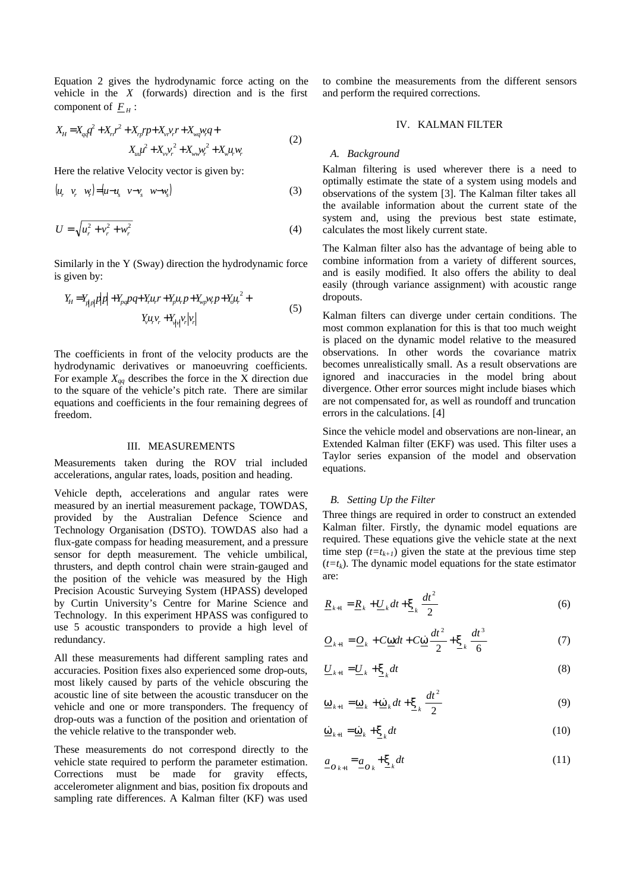Equation 2 gives the hydrodynamic force acting on the vehicle in the *X* (forwards) direction and is the first component of  $F_H$ :

$$
X_{H} = X_{qq}q^{2} + X_{rr}r^{2} + X_{rr}rp + X_{rr}r_{r} + X_{wq}w_{r}q + X_{uH}l^{2} + X_{rr}r_{r}^{2} + X_{ww}r_{r}^{2} + X_{w}w_{r}^{2} + X_{w}u_{r}w_{r}
$$
\n
$$
(2)
$$

Here the relative Velocity vector is given by:

$$
\left(u_r \quad v_r \quad w_r\right) = \left(u - u_s \quad v - v_s \quad w - w_s\right) \tag{3}
$$

$$
U = \sqrt{u_r^2 + v_r^2 + w_r^2}
$$
 (4)

Similarly in the Y (Sway) direction the hydrodynamic force is given by:

$$
Y_{H} = Y_{p|H} p |p| + Y_{pq} p q + Y_{r} u_{r} r + Y_{p} u_{r} p + Y_{wp} w_{r} p + Y_{q} u_{r}^{2} + Y_{p} u_{r} v_{r} + Y_{p|v} v_{r} |v_{r}|
$$
\n
$$
(5)
$$

The coefficients in front of the velocity products are the hydrodynamic derivatives or manoeuvring coefficients. For example  $X_{qq}$  describes the force in the X direction due to the square of the vehicle's pitch rate. There are similar equations and coefficients in the four remaining degrees of freedom.

### III. MEASUREMENTS

Measurements taken during the ROV trial included accelerations, angular rates, loads, position and heading.

Vehicle depth, accelerations and angular rates were measured by an inertial measurement package, TOWDAS, provided by the Australian Defence Science and Technology Organisation (DSTO). TOWDAS also had a flux-gate compass for heading measurement, and a pressure sensor for depth measurement. The vehicle umbilical, thrusters, and depth control chain were strain-gauged and the position of the vehicle was measured by the High Precision Acoustic Surveying System (HPASS) developed by Curtin University's Centre for Marine Science and Technology. In this experiment HPASS was configured to use 5 acoustic transponders to provide a high level of redundancy.

All these measurements had different sampling rates and accuracies. Position fixes also experienced some drop-outs, most likely caused by parts of the vehicle obscuring the acoustic line of site between the acoustic transducer on the vehicle and one or more transponders. The frequency of drop-outs was a function of the position and orientation of the vehicle relative to the transponder web.

These measurements do not correspond directly to the vehicle state required to perform the parameter estimation. Corrections must be made for gravity effects, accelerometer alignment and bias, position fix dropouts and sampling rate differences. A Kalman filter (KF) was used

to combine the measurements from the different sensors and perform the required corrections.

## IV. KALMAN FILTER

#### *A. Background*

Kalman filtering is used wherever there is a need to optimally estimate the state of a system using models and observations of the system [3]. The Kalman filter takes all the available information about the current state of the system and, using the previous best state estimate, calculates the most likely current state.

The Kalman filter also has the advantage of being able to combine information from a variety of different sources, and is easily modified. It also offers the ability to deal easily (through variance assignment) with acoustic range dropouts.

Kalman filters can diverge under certain conditions. The most common explanation for this is that too much weight is placed on the dynamic model relative to the measured observations. In other words the covariance matrix becomes unrealistically small. As a result observations are ignored and inaccuracies in the model bring about divergence. Other error sources might include biases which are not compensated for, as well as roundoff and truncation errors in the calculations. [4]

Since the vehicle model and observations are non-linear, an Extended Kalman filter (EKF) was used. This filter uses a Taylor series expansion of the model and observation equations.

#### *B. Setting Up the Filter*

Three things are required in order to construct an extended Kalman filter. Firstly, the dynamic model equations are required. These equations give the vehicle state at the next time step  $(t=t_{k+1})$  given the state at the previous time step  $(t=t<sub>k</sub>)$ . The dynamic model equations for the state estimator are:

$$
\underline{R}_{k+1} = \underline{R}_k + \underline{U}_k dt + \underline{x}_k \frac{dt^2}{2}
$$
 (6)

$$
\underline{O}_{k+1} = \underline{O}_k + C \underline{w} dt + C \underline{\dot{w}} \frac{dt^2}{2} + \underline{x}_k \frac{dt^3}{6}
$$
(7)

$$
\underline{U}_{k+1} = \underline{U}_k + \underline{\mathbf{x}}_k dt \tag{8}
$$

$$
\underline{\mathbf{w}}_{k+1} = \underline{\mathbf{w}}_k + \dot{\underline{\mathbf{w}}}_k dt + \underline{\mathbf{x}}_{-k} \frac{dt^2}{2}
$$
 (9)

$$
\dot{\mathbf{W}}_{k+1} = \dot{\mathbf{W}}_k + \mathbf{X}_{k} dt \tag{10}
$$

$$
\underline{a}_{O_{k+1}} = \underline{a}_{O_k} + \underline{x}_k dt \tag{11}
$$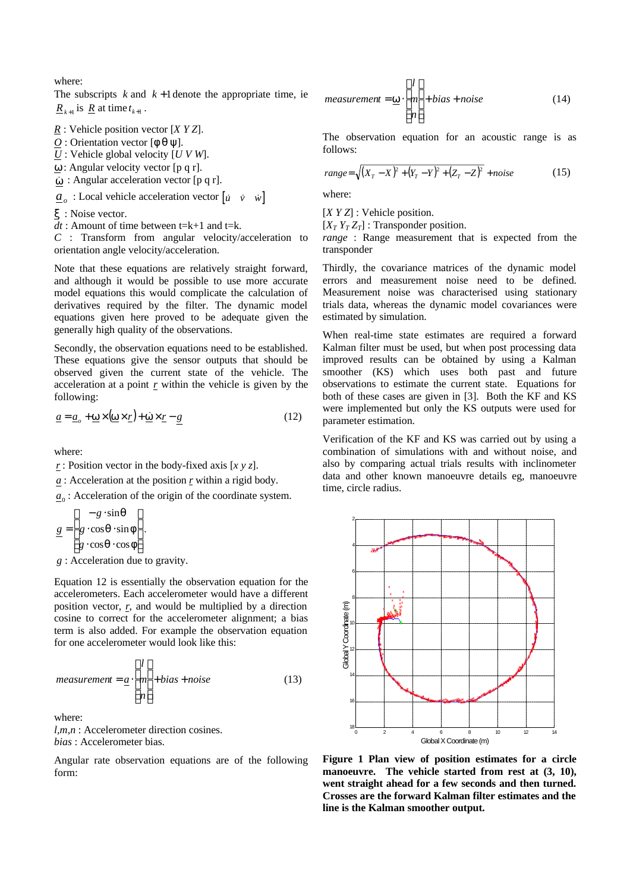where:

The subscripts  $k$  and  $k+1$  denote the appropriate time, ie  $R_{k+1}$  is  $R$  at time  $t_{k+1}$ .

- *R* : Vehicle position vector [*X Y Z*].
- *O* : Orientation vector [*f q y*].
- *U* : Vehicle global velocity [*U V W*].
- $w$ : Angular velocity vector [p q r].
- $\dot{\mathbf{w}}$  : Angular acceleration vector [p q r].
- $\underline{a}_o$ : Local vehicle acceleration vector  $\begin{bmatrix} \dot{u} & \dot{v} & \dot{w} \end{bmatrix}$
- *x* : Noise vector.
- *dt* : Amount of time between t=k+1 and t=k.

*C* : Transform from angular velocity/acceleration to orientation angle velocity/acceleration.

Note that these equations are relatively straight forward, and although it would be possible to use more accurate model equations this would complicate the calculation of derivatives required by the filter. The dynamic model equations given here proved to be adequate given the generally high quality of the observations.

Secondly, the observation equations need to be established. These equations give the sensor outputs that should be observed given the current state of the vehicle. The acceleration at a point  $\mathbf r$  within the vehicle is given by the following:

$$
\underline{a} = \underline{a}_o + \underline{w} \times (\underline{w} \times \underline{r}) + \underline{\dot{w}} \times \underline{r} - \underline{g}
$$
\n(12)

where:

- *r* : Position vector in the body-fixed axis [*x y z*].
- *a* : Acceleration at the position *r* within a rigid body.

 $\underline{a}_0$ : Acceleration of the origin of the coordinate system.

$$
\underline{g} = \begin{bmatrix} -g \cdot \sin q \\ g \cdot \cos q \cdot \sin f \\ g \cdot \cos q \cdot \cos f \end{bmatrix}.
$$

*g* : Acceleration due to gravity.

Equation 12 is essentially the observation equation for the accelerometers. Each accelerometer would have a different position vector, *r*, and would be multiplied by a direction cosine to correct for the accelerometer alignment; a bias term is also added. For example the observation equation for one accelerometer would look like this:

$$
measurement = \underline{a} \cdot \begin{bmatrix} l \\ m \\ n \end{bmatrix} + bias + noise \tag{13}
$$

where:

*l,m,n* : Accelerometer direction cosines. *bias* : Accelerometer bias.

Angular rate observation equations are of the following form:

$$
measurement = \underline{\mathbf{w}} \cdot \begin{bmatrix} l \\ m \\ n \end{bmatrix} + bias + noise \tag{14}
$$

The observation equation for an acoustic range is as follows:

$$
range = \sqrt{(X_T - X)^2 + (Y_T - Y)^2 + (Z_T - Z)^2 + noise}
$$
 (15)

where:

[*X Y Z*] : Vehicle position.

 $[X_T Y_T Z_T]$ : Transponder position.

*range* : Range measurement that is expected from the transponder

Thirdly, the covariance matrices of the dynamic model errors and measurement noise need to be defined. Measurement noise was characterised using stationary trials data, whereas the dynamic model covariances were estimated by simulation.

When real-time state estimates are required a forward Kalman filter must be used, but when post processing data improved results can be obtained by using a Kalman smoother (KS) which uses both past and future observations to estimate the current state. Equations for both of these cases are given in [3]. Both the KF and KS were implemented but only the KS outputs were used for parameter estimation.

Verification of the KF and KS was carried out by using a combination of simulations with and without noise, and also by comparing actual trials results with inclinometer data and other known manoeuvre details eg, manoeuvre time, circle radius.



**Figure 1 Plan view of position estimates for a circle manoeuvre. The vehicle started from rest at (3, 10), went straight ahead for a few seconds and then turned. Crosses are the forward Kalman filter estimates and the line is the Kalman smoother output.**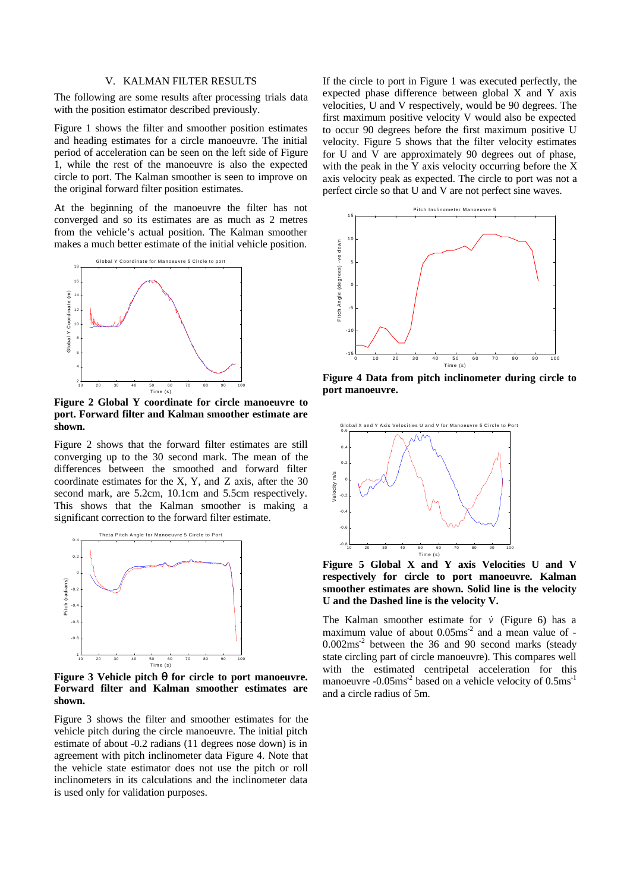### V. KALMAN FILTER RESULTS

The following are some results after processing trials data with the position estimator described previously.

Figure 1 shows the filter and smoother position estimates and heading estimates for a circle manoeuvre. The initial period of acceleration can be seen on the left side of Figure 1, while the rest of the manoeuvre is also the expected circle to port. The Kalman smoother is seen to improve on the original forward filter position estimates.

At the beginning of the manoeuvre the filter has not converged and so its estimates are as much as 2 metres from the vehicle's actual position. The Kalman smoother makes a much better estimate of the initial vehicle position.



**Figure 2 Global Y coordinate for circle manoeuvre to port. Forward filter and Kalman smoother estimate are shown.**

Figure 2 shows that the forward filter estimates are still converging up to the 30 second mark. The mean of the differences between the smoothed and forward filter coordinate estimates for the X, Y, and Z axis, after the 30 second mark, are 5.2cm, 10.1cm and 5.5cm respectively. This shows that the Kalman smoother is making a significant correction to the forward filter estimate.



**Figure 3 Vehicle pitch q for circle to port manoeuvre. Forward filter and Kalman smoother estimates are shown.**

Figure 3 shows the filter and smoother estimates for the vehicle pitch during the circle manoeuvre. The initial pitch estimate of about -0.2 radians (11 degrees nose down) is in agreement with pitch inclinometer data Figure 4. Note that the vehicle state estimator does not use the pitch or roll inclinometers in its calculations and the inclinometer data is used only for validation purposes.

If the circle to port in Figure 1 was executed perfectly, the expected phase difference between global X and Y axis velocities, U and V respectively, would be 90 degrees. The first maximum positive velocity V would also be expected to occur 90 degrees before the first maximum positive U velocity. Figure 5 shows that the filter velocity estimates for U and V are approximately 90 degrees out of phase, with the peak in the Y axis velocity occurring before the X axis velocity peak as expected. The circle to port was not a perfect circle so that U and V are not perfect sine waves.



**Figure 4 Data from pitch inclinometer during circle to port manoeuvre.**



**Figure 5 Global X and Y axis Velocities U and V respectively for circle to port manoeuvre. Kalman smoother estimates are shown. Solid line is the velocity U and the Dashed line is the velocity V.**

The Kalman smoother estimate for  $\dot{v}$  (Figure 6) has a maximum value of about  $0.05 \text{ms}^2$  and a mean value of - $0.002 \text{ms}^2$  between the 36 and 90 second marks (steady state circling part of circle manoeuvre). This compares well with the estimated centripetal acceleration for this manoeuvre  $-0.05$ ms<sup>-2</sup> based on a vehicle velocity of  $0.5$ ms<sup>-1</sup> and a circle radius of 5m.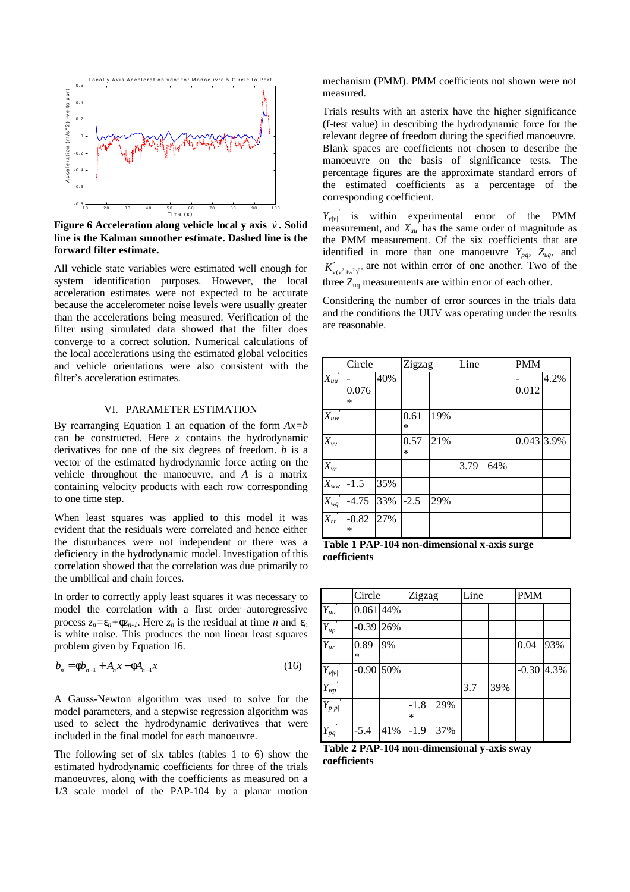

**Figure 6 Acceleration along vehicle local y axis** *v*& **. Solid line is the Kalman smoother estimate. Dashed line is the forward filter estimate.**

All vehicle state variables were estimated well enough for system identification purposes. However, the local acceleration estimates were not expected to be accurate because the accelerometer noise levels were usually greater than the accelerations being measured. Verification of the filter using simulated data showed that the filter does converge to a correct solution. Numerical calculations of the local accelerations using the estimated global velocities and vehicle orientations were also consistent with the filter's acceleration estimates.

# VI. PARAMETER ESTIMATION

By rearranging Equation 1 an equation of the form *Ax=b* can be constructed. Here *x* contains the hydrodynamic derivatives for one of the six degrees of freedom. *b* is a vector of the estimated hydrodynamic force acting on the vehicle throughout the manoeuvre, and *A* is a matrix containing velocity products with each row corresponding to one time step.

When least squares was applied to this model it was evident that the residuals were correlated and hence either the disturbances were not independent or there was a deficiency in the hydrodynamic model. Investigation of this correlation showed that the correlation was due primarily to the umbilical and chain forces.

In order to correctly apply least squares it was necessary to model the correlation with a first order autoregressive process  $z_n = e_n + f z_{n-1}$ . Here  $z_n$  is the residual at time *n* and  $e_n$ is white noise. This produces the non linear least squares problem given by Equation 16.

$$
b_n = f b_{n-1} + A_n x - f A_{n-1} x \tag{16}
$$

A Gauss-Newton algorithm was used to solve for the model parameters, and a stepwise regression algorithm was used to select the hydrodynamic derivatives that were included in the final model for each manoeuvre.

The following set of six tables (tables 1 to 6) show the estimated hydrodynamic coefficients for three of the trials manoeuvres, along with the coefficients as measured on a 1/3 scale model of the PAP-104 by a planar motion mechanism (PMM). PMM coefficients not shown were not measured.

Trials results with an asterix have the higher significance (f-test value) in describing the hydrodynamic force for the relevant degree of freedom during the specified manoeuvre. Blank spaces are coefficients not chosen to describe the manoeuvre on the basis of significance tests. The percentage figures are the approximate standard errors of the estimated coefficients as a percentage of the corresponding coefficient.

 $Y_{\nu/\nu}$  is within experimental error of the PMM measurement, and  $X_{uu}$ <sup>'</sup> has the same order of magnitude as the PMM measurement. Of the six coefficients that are identified in more than one manoeuvre  $Y_{pq}$ ,  $Z_{uq}$ , and  $K'_{\nu(\nu^2+\omega^2)^{0.5}}$  are not within error of one another. Two of the three  $Z_{uq}$  measurements are within error of each other.

Considering the number of error sources in the trials data and the conditions the UUV was operating under the results are reasonable.

|                              | Circle            |     |                | Zigzag |      | Line |            |      |
|------------------------------|-------------------|-----|----------------|--------|------|------|------------|------|
| $X_{uu}$                     | 0.076<br>$\ast$   | 40% |                |        |      |      | 0.012      | 4.2% |
| $\overline{X}_{uw}$          |                   |     | 0.61<br>$\ast$ | 19%    |      |      |            |      |
| $X_{\nu\nu}^{\phantom{\nu}}$ |                   |     | 0.57<br>$\ast$ | 21%    |      |      | 0.043 3.9% |      |
| ${X_{\nu r}}^{'}$            |                   |     |                |        | 3.79 | 64%  |            |      |
| $X_{ww}$                     | $-1.5$            | 35% |                |        |      |      |            |      |
| $\overline{X_{wq}}$          | $-4.75$           | 33% | $-2.5$         | 29%    |      |      |            |      |
| $X_{rr}^{'}$                 | $-0.82$<br>$\ast$ | 27% |                |        |      |      |            |      |

**Table 1 PAP-104 non-dimensional x-axis surge coefficients**

|                | Circle            |     | Zigzag           | Line |     |     | <b>PMM</b> |      |  |
|----------------|-------------------|-----|------------------|------|-----|-----|------------|------|--|
| $Y_{uu}$       | 0.061 44%         |     |                  |      |     |     |            |      |  |
| $Y_{up}$       | $-0.39$           | 26% |                  |      |     |     |            |      |  |
| $Y_{ur}$       | 0.89<br>$^{\ast}$ | 9%  |                  |      |     |     | 0.04       | 93%  |  |
| $Y_{\nu/\nu/}$ | $-0.90$           | 50% |                  |      |     |     | $-0.30$    | 4.3% |  |
| $Y_{wp}$       |                   |     |                  |      | 3.7 | 39% |            |      |  |
| $Y_{p/p/}$     |                   |     | $-1.8$<br>$\ast$ | 29%  |     |     |            |      |  |
| $Y_{pq}$       | $-5.4$            | 41% | $-1.9$           | 37%  |     |     |            |      |  |

**Table 2 PAP-104 non-dimensional y-axis sway coefficients**